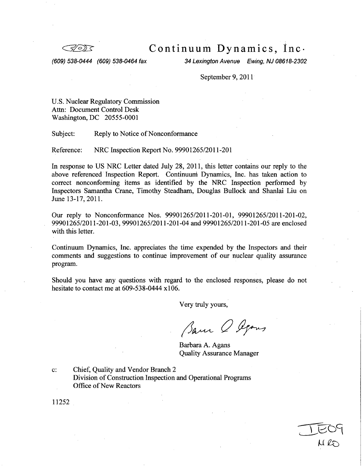Continuum Dynamics, Inc.

*(609) 538-0444 (609) 538-0464 fax 34 Lexington Avenue Ewing, NJ 08618-2302*

September 9, 2011

U.S. Nuclear Regulatory Commission Attn: Document Control Desk Washington, DC 20555-0001

Subject: Reply to Notice of Nonconformance

Reference: NRC Inspection Report No. 99901265/2011-201

In response to US NRC Letter dated July 28, 2011, this letter contains our reply to the above referenced Inspection Report. Continuum Dynamics, Inc. has taken action to correct nonconforming items as identified by the NRC Inspection performed by Inspectors Samantha Crane, Timothy Steadham, Douglas Bullock and Shanlai Liu on June 13-17, 2011.

Our reply to Nonconformance Nos. 99901265/2011-201-01, 99901265/2011-201-02, 99901265/2011-201-03, 99901265/2011-201-04 and 99901265/2011-201-05 are enclosed with this letter.

Continuum Dynamics, Inc. appreciates the time expended by the Inspectors and their comments and suggestions to continue improvement of our nuclear quality assurance program.

Should you have any questions with regard to the enclosed responses, please do not hesitate to contact me at 609-538-0444 x106.

Very truly yours,

Barn O Agons

Barbara A. Agans Quality Assurance Manager

c: Chief, Quality and Vendor Branch 2 Division of Construction Inspection and Operational Programs Office of New Reactors

11252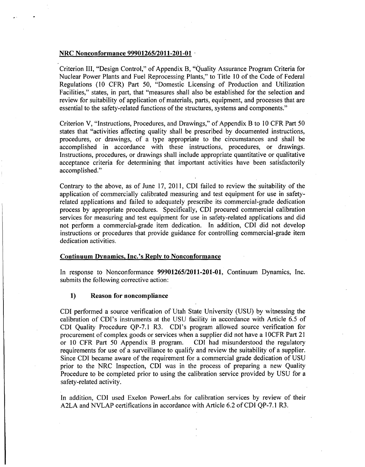#### NRC Nonconformance 99901265/2011-201-01 **-**

Criterion III, "Design Control," of Appendix B, "Quality Assurance Program Criteria for Nuclear Power Plants and Fuel Reprocessing Plants," to Title 10 of the Code of Federal Regulations (10 CFR) Part 50, "Domestic Licensing of Production and Utilization Facilities," states, in part, that "measures shall also be established for the selection and review for suitability of application of materials, parts, equipment, and processes that are essential to the safety-related functions of the structures, systems and components."

Criterion V, "Instructions, Procedures, and Drawings," of Appendix B to 10 CFR Part 50 states that "activities affecting quality shall be prescribed by documented instructions, procedures, or drawings, of a type appropriate to the circumstances and shall be accomplished in accordance with these instructions, procedures, or drawings. Instructions, procedures, or drawings shall include appropriate quantitative or qualitative acceptance criteria for determining that important activities have been satisfactorily accomplished."

Contrary to the above, as of June 17, 2011, CDI failed to review the suitability of the application of commercially calibrated measuring and test equipment for use in safety- related applications and failed to adequately prescribe its commercial-grade dedication process by appropriate procedures. Specifically, CDI procured commercial calibration services for measuring and test equipment for use in safety-related applications and did not perform a commercial-grade item dedication. In addition, CDI did not develop instructions or procedures that provide guidance for controlling commercial-grade item dedication activities.

## Continuum Dynamics, Inc.'s Reply to Nonconformance

In response to Nonconformance **99901265/2011-201-01,** Continuum Dynamics, Inc. submits the following corrective action:

### **1)** Reason for noncompliance

**CDI** performed a source verification of Utah State University (USU) by witnessing the calibration of CDI's instruments at the USU facility in accordance with Article 6.5 of CDI Quality Procedure QP-7.1 R3. CDI's program allowed source verification for procurement of complex goods or services when a supplier did not have a 1OCFR Part 21 or 10 CFR Part 50 Appendix B program. CDI had misunderstood the regulatory requirements for use of a surveillance to qualify and review the suitability of a supplier. Since CDI became aware of the requirement for a commerc prior to the NRC Inspection, CDI was in the process of preparing a new Quality Procedure to be completed prior to using the calibration service provided by USU for a safety-related activity.

In addition, CDI used Exelon PowerLabs for calibration services by review of their A2LA and NVLAP certifications in accordance with Article 6.2 of CDI QP-7.1 R3.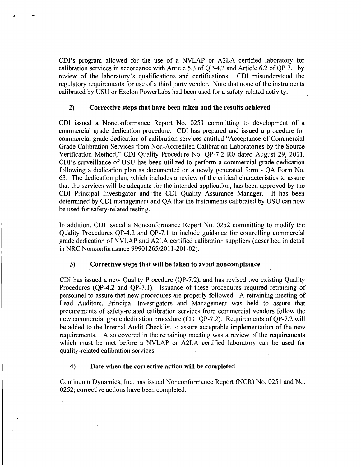CDI's program allowed for the use of a NVLAP or A2LA certified laboratory for calibration services in accordance with Article 5.3 of QP-4.2 and Article 6.2 of QP 7.1 by review of the laboratory's qualifications and certifications. CDI misunderstood the regulatory requirements for use of a third party vendor. Note that none of the instruments calibrated by USU or Exelon PowerLabs had been used for a safety-related activity.

## 2) Corrective steps that have been taken and the results achieved

**CDI** issued a Nonconformance Report No. 0251 committing to development of a commercial grade dedication procedure. CDI has prepared and issued a procedure for commercial grade dedication of calibration services entitled "Acceptance of Commercial Grade Calibration Services from Non-Accredited Calibration Laboratories by the Source Verification Method," CDI Quality Procedure No. QP-7.2 RO dated August 29, 2011. CDI's surveillance of USU has been utilized to perform a commercial grade dedication following a dedication plan as documented on a newly generated form - **QA** Form No. 63. The dedication plan, which includes a review of the critical characteristics to assure that the services will be adequate for the intended application, has been approved by the CDI Principal Investigator and the CDI Quality Assurance Manager. It has been determined by CDI management and QA that the instruments calibrated by USU can now be used for safety-related testing.

In addition, CDI issued a Nonconformance Report No. 0252 committing to modify the Quality Procedures QP-4.2 and QP-7.1 to include guidance for controlling commercial grade dedication of NVLAP and A2LA certified calibration suppliers (described in detail in NRC Nonconformance 99901265/2011-201-02).

#### **3)** Corrective steps that will be taken to avoid noncompliance

CDI has issued a new Quality Procedure (QP-7.2), and has revised two existing Quality Procedures (QP-4.2 and QP-7.1). Issuance of these procedures required retraining of personnel to assure that new procedures are properly followed. A retraining meeting of Lead Auditors, Principal Investigators and Management was held to assure that procurements of safety-related calibration services from commercial vendors follow the new commercial grade dedication procedure (CDI QP-7.2). Requirements of QP-7.2 will be added to the Internal Audit Checklist to assure acceptable implementation of the new requirements. Also covered in the retraining meeting was a review of the requirements which must be met before a NVLAP or A2LA certified laboratory can be used for quality-related calibration services.

#### 4) Date when the corrective action will be completed

Continuum Dynamics, Inc. has issued Nonconformance Report (NCR) No. 0251 and No. 0252; corrective actions have been completed.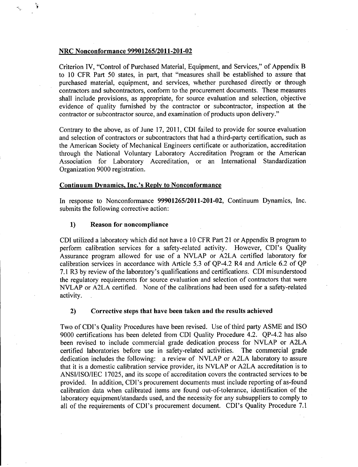#### NRC Nonconformance **99901265/2011-201-02**

Criterion IV, "Control of Purchased Material, Equipment, and Services," of Appendix B to 10 CFR Part 50 states, in part, that "measures shall be established to assure that purchased material, equipment, and services, whether purchased directly or through contractors and subcontractors, conform to the procurement documents. These measures shall include provisions, as appropriate, for source evaluation and selection, objective evidence of quality furnished by the contractor or subcontractor, inspection at the contractor or subcontractor source, and examination of products upon delivery."

Contrary to the above, as of June 17, 2011, CDI failed to provide for source evaluation and selection of contractors or subcontractors that had a third-party certification, such as the American Society of Mechanical Engineers certificate or authorization, accreditation through the National Voluntary Laboratory Accreditation Program or the American Association for Laboratory Accreditation, or an International Standardization Organization 9000 registration.

## Continuum Dynamics. Inc.'s Reply to Nonconformance

In response to Nonconformance 99901265/2011-201-02, Continuum Dynamics, Inc. submits the following corrective action:

#### **1)** Reason for noncompliance

CDI utilized a laboratory which did not have a 10 CFR Part 21 or Appendix B program to perform calibration services for a safety-related activity. However, CDI's Quality Assurance program allowed for use of a NVLAP or A2LA certified laboratory for calibration services in accordance with Article 5.3 of QP-4.2 R4 and Article 6.2 of QP 7.1 R3 by review of the laboratory's qualifications and certifications. CDI misunderstood the regulatory requirements for source evaluation and selection of contractors that were NVLAP or A2LA certified. None of the calibrations had been used for a safety-related activity.

## 2) Corrective steps that have been taken and the results achieved

Two of CDI's Quality Procedures have been revised. Use of third party ASME and ISO 9000 certifications has been deleted from CDI Quality Procedure 4.2. QP-4.2 has also been revised to include commercial grade dedication process for NVLAP or A2LA certified laboratories before use in safety-related activities. The commercial grade dedication includes the following: a review of NVLAP or A2LA laboratory to assure that it is a domestic calibration service provider, its NVLAP or A2LA accreditation is to ANSI/ISO/IEC 17025, and its scope of accreditation covers the contracted services to be provided. In addition, CDI's procurement documents must include reporting of as-found calibration data when calibrated items are found out-of-tolerance, identification of the laboratory equipment/standards used, and the necessity for any subsuppliers to comply to all of the requirements of CDI's procurement document. CDI's Quality Procedure 7.1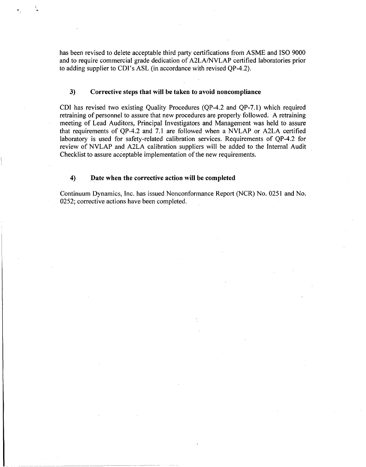has been revised to delete acceptable third party certifications from ASME and ISO 9000 and to require commercial grade dedication of A2LA/NVLAP certified laboratories prior to adding supplier to CDI's ASL (in accordance with revised QP-4.2).

## 3) Corrective steps that will be taken to avoid noncompliance

CDI has revised two existing Quality Procedures (QP-4.2 and QP-7.1) which required retraining of personnel to assure that new procedures are properly followed. A retraining meeting of Lead Auditors, Principal Investigators and Management was held to assure that requirements of QP-4.2 and 7.1 are followed when a NVLAP or A2LA certified laboratory is used for safety-related calibration services. Requirements of QP-4.2 for review of NVLAP and A2LA calibration suppliers will be added to the Internal Audit Checklist to assure acceptable implementation of the new requirements.

## 4) Date when the corrective action will be completed

Continuum Dynamics, Inc. has issued Nonconformance Report (NCR) No. 0251 and No. 0252; corrective actions have been completed.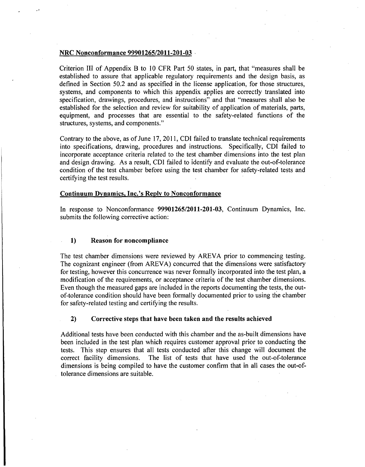#### NRC Nonconformance **99901265/2011-201-03 ,**

Criterion III of Appendix B to 10 CFR Part 50 states, in part, that "measures shall be established to assure that applicable regulatory requirements and the design basis, as defined in Section 50.2 and as specified in the license application, for those structures, systems, and components to which this appendix applies are correctly translated into specification, drawings, procedures, and instructions" and that "measures shall also be established for the selection and review for suitability of application of materials, parts, equipment, and processes that are essential to the safety-related functions of the structures, systems, and components."

Contrary to the above, as of June 17, 2011, **CDI** failed to translate technical requirements into specifications, drawing, procedures and instructions. Specifically, CDI failed to incorporate acceptance criteria related to the test chamber dimensions into the test plan and design drawing. As a result, CDI failed to identify and evaluate the out-of-tolerance condition of the test chamber before using the test chamber for safety-related tests and certifying the test results.

## Continuum Dynamics. Inc.'s Reply to Nonconformance

In response to Nonconformance 99901265/2011-201-03, Continuum Dynamics, Inc. submits the following corrective action:

## 1) Reason for noncompliance

The test chamber dimensions were reviewed by AREVA prior to commencing testing. The cognizant engineer (from AREVA) concurred that the dimensions were satisfactory for testing, however this concurrence was never formally incorporated into the test plan, a modification of the requirements, or acceptance criteria of the test chamber dimensions. Even though the measured gaps are included in the reports documenting the tests, the outof-tolerance condition should have been formally documented prior to using the chamber for safety-related testing and certifying the results.

## 2) Corrective steps that have been taken and the results achieved

Additional tests have been conducted with this chamber and the as-built dimensions have been included in the test plan which requires customer approval prior to conducting the tests. This step ensures that all tests conducted after this change will document the correct facility dimensions. The list of tests that have used the out-of-tolerance dimensions is being compiled to have the customer confirm that in all cases the out-oftolerance dimensions are suitable.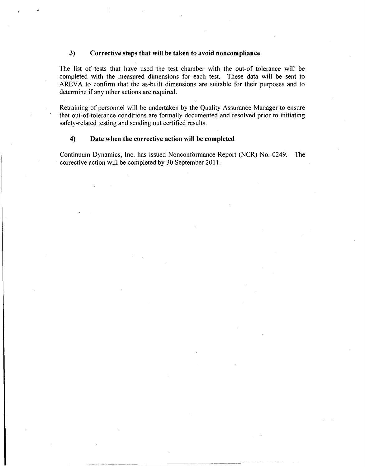## **3)** Corrective steps that will be taken to avoid noncompliance

The list of tests that have used the test chamber with the out-of tolerance will be completed with the measured dimensions for each test. These data will be sent to AREVA to confirm that the as-built dimensions are suitable for their purposes and to determine if any other actions are required.

Retraining of personnel will be undertaken by the Quality Assurance Manager to ensure that out-of-tolerance conditions are formally documented and resolved prior to initiating safety-related testing and sending out certified results.

### 4) Date when the corrective action will be completed

Continuum Dynamics, Inc. has issued Nonconformance Report (NCR) No. 0249. The corrective action will be completed by 30 September 2011.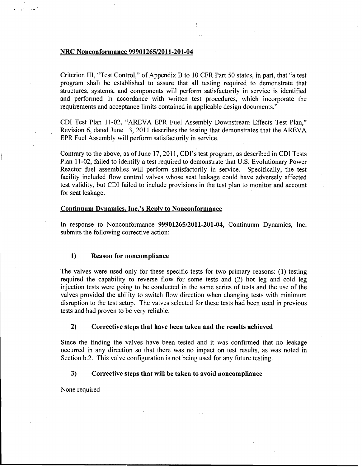#### NRC Nonconformance **99901265/2011-201-04**

Criterion **111,** "Test Control," of Appendix B to **10** CFR Part **50** states, in part, that "a test program shall. be established to assure that all testing required to demonstrate that structures, systems, and components will perform satisfactorily in service is identified and performed in accordance with written test procedures, which incorporate the requirements and acceptance limits contained in applicable design documents."

**CDI** Test Plan 11-02, "AREVA EPR Fuel Assembly Downstream Effects Test Plan," Revision **6,** dated June **13,** 2011 describes the testing that demonstrates that the AREVA EPR Fuel Assembly will perform satisfactorily in service.

Contrary to the above, as of June **17, 2011,** CDI's test program, as described in **CDI** Tests Plan 11-02, failed to identify a test required to demonstrate that **U.S.** Evolutionary Power Reactor fuel assemblies will perform satisfactorily in service. Specifically, the test facility included flow control valves whose seat leakage could have adversely affected test validity, but **CDI** failed to include provisions in the test plan to monitor and account for seat leakage.

#### Continuum Dynamics, Inc.'s Reply to Nonconformance

In response to Nonconformance **99901265/2011-201-04,** Continuum Dynamics, Inc. submits the following corrective action:

#### **1)** Reason for noncompliance

The valves were used only for these specific tests for two primary reasons: **(1)** testing required the capability to reverse flow for some tests and (2) hot leg and cold leg injection tests were going to be conducted in the same series of tests and the use of the valves provided the ability to switch flow direction when changing tests with minimum disruption to the test setup. The valves selected for these tests had been used in previous tests and had proven to be very reliable.

## 2) Corrective steps that have been taken and the results achieved

Since the finding the valves have been tested and it was confirmed that no leakage occurred in any direction so that there was no impact on test results, as was noted in Section **b.2.** This valve configuration is not being used for any future testing.

#### *3)* Corrective steps that will be taken to avoid noncompliance

None required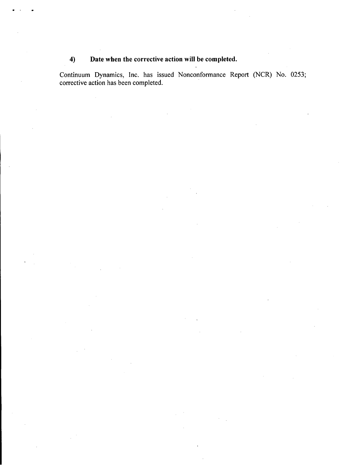# 4) Date when the corrective action will be completed.

Continuum Dynamics, Inc. has issued Nonconformance Report (NCR) No. **0253;** corrective action has been completed.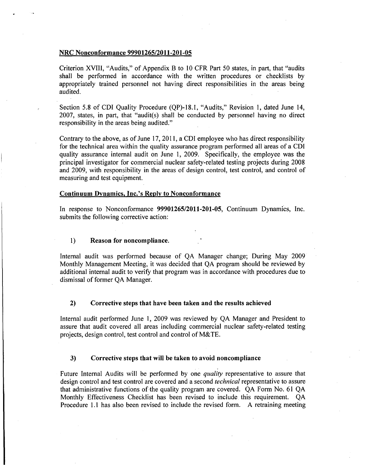#### NRC Nonconformance 99901265/2011-201-05

Criterion XVIII, "Audits," of Appendix B to 10 CFR Part 50 states, in part, that "audits shall be performed in accordance with the written procedures or checklists by appropriately trained personnel not having direct responsibilities in the areas being audited.

Section 5.8 of CDI Quality Procedure (QP)-18.1, "Audits," Revision 1, dated June 14, 2007, states, in part, that "audit(s) shall be conducted by personnel having no direct responsibility in the areas being audited."

Contrary to the above, as of June 17, 2011, a CDI employee who has direct responsibility for the technical area within the quality assurance program performed all areas of a CDI quality assurance internal audit on June 1, 2009. Specifically, the employee was the principal investigator for commercial nuclear safety-related testing projects during 2008 and 2009, with responsibility in the areas of design control, test control, and control of measuring and test equipment.

## Continuum Dynamics, Inc.'s Reply to Nonconformance

In response to Nonconformance 99901265/2011-201-05, Continuum Dynamics, Inc. submits the following corrective action:

## 1) Reason for noncompliance.

Internal audit was performed because of QA Manager change; During May 2009 Monthly Management Meeting, it was decided that QA program should be reviewed by additional internal audit to verify that program was in accordance with procedures due to dismissal of former QA Manager.

## 2) Corrective steps that have been taken and the results achieved

Internal audit performed June **1,** 2009 was reviewed by QA Manager and President to assure that audit covered all areas including commercial nuclear safety-related testing projects, design control, test control and control of M&TE.

#### 3) Corrective steps that will be taken to avoid noncompliance

Future Internal Audits will be performed by one *quality* representative to assure that design control and test control are covered and a second *technical* representative to assure that administrative functions of the quality program are covered. QA Form No. 61 QA Monthly Effectiveness Checklist has been revised to include, this requirement. QA Procedure 1.1 has also been revised to include the revised form. A retraining meeting